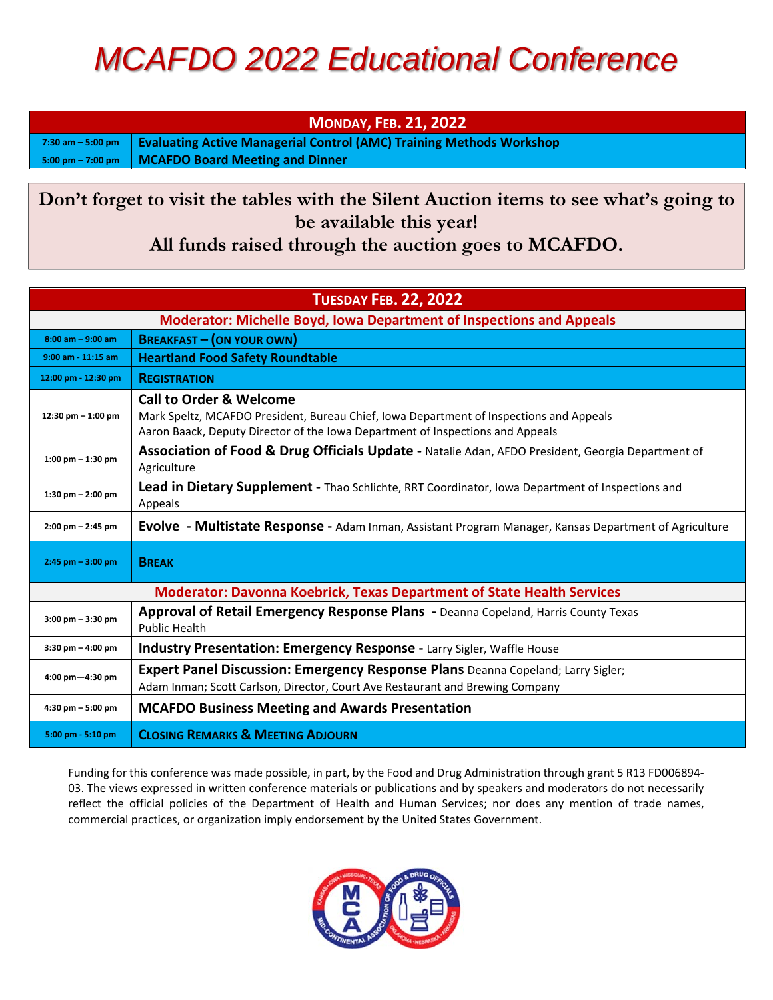## *MCAFDO 2022 Educational Conference*

**MONDAY, FEB. 21, 2022** 

**7:30 am – 5:00 pm Evaluating Active Managerial Control (AMC) Training Methods Workshop** 

**5:00 pm – 7:00 pm MCAFDO Board Meeting and Dinner** 

**Don't forget to visit the tables with the Silent Auction items to see what's going to be available this year!** 

**All funds raised through the auction goes to MCAFDO.** 

| <b>TUESDAY FEB. 22, 2022</b>                                                  |                                                                                                                                                                                                                 |  |
|-------------------------------------------------------------------------------|-----------------------------------------------------------------------------------------------------------------------------------------------------------------------------------------------------------------|--|
| <b>Moderator: Michelle Boyd, Iowa Department of Inspections and Appeals</b>   |                                                                                                                                                                                                                 |  |
| $8:00$ am $-9:00$ am                                                          | <b>BREAKFAST - (ON YOUR OWN)</b>                                                                                                                                                                                |  |
| $9:00$ am - 11:15 am                                                          | <b>Heartland Food Safety Roundtable</b>                                                                                                                                                                         |  |
| 12:00 pm - 12:30 pm                                                           | <b>REGISTRATION</b>                                                                                                                                                                                             |  |
| 12:30 pm $-$ 1:00 pm                                                          | <b>Call to Order &amp; Welcome</b><br>Mark Speltz, MCAFDO President, Bureau Chief, Iowa Department of Inspections and Appeals<br>Aaron Baack, Deputy Director of the Iowa Department of Inspections and Appeals |  |
| $1:00 \text{ pm} - 1:30 \text{ pm}$                                           | Association of Food & Drug Officials Update - Natalie Adan, AFDO President, Georgia Department of<br>Agriculture                                                                                                |  |
| 1:30 pm $-$ 2:00 pm                                                           | Lead in Dietary Supplement - Thao Schlichte, RRT Coordinator, Iowa Department of Inspections and<br>Appeals                                                                                                     |  |
| $2:00 \text{ pm} - 2:45 \text{ pm}$                                           | Evolve - Multistate Response - Adam Inman, Assistant Program Manager, Kansas Department of Agriculture                                                                                                          |  |
| $2:45$ pm $-3:00$ pm                                                          | <b>BREAK</b>                                                                                                                                                                                                    |  |
| <b>Moderator: Davonna Koebrick, Texas Department of State Health Services</b> |                                                                                                                                                                                                                 |  |
| $3:00$ pm $-3:30$ pm                                                          | Approval of Retail Emergency Response Plans - Deanna Copeland, Harris County Texas<br><b>Public Health</b>                                                                                                      |  |
| $3:30 \text{ pm} - 4:00 \text{ pm}$                                           | Industry Presentation: Emergency Response - Larry Sigler, Waffle House                                                                                                                                          |  |
| 4:00 pm-4:30 pm                                                               | Expert Panel Discussion: Emergency Response Plans Deanna Copeland; Larry Sigler;<br>Adam Inman; Scott Carlson, Director, Court Ave Restaurant and Brewing Company                                               |  |
| $4:30$ pm $-5:00$ pm                                                          | <b>MCAFDO Business Meeting and Awards Presentation</b>                                                                                                                                                          |  |
| 5:00 pm - 5:10 pm                                                             | <b>CLOSING REMARKS &amp; MEETING ADJOURN</b>                                                                                                                                                                    |  |

Funding for this conference was made possible, in part, by the Food and Drug Administration through grant 5 R13 FD006894‐ 03. The views expressed in written conference materials or publications and by speakers and moderators do not necessarily reflect the official policies of the Department of Health and Human Services; nor does any mention of trade names, commercial practices, or organization imply endorsement by the United States Government.